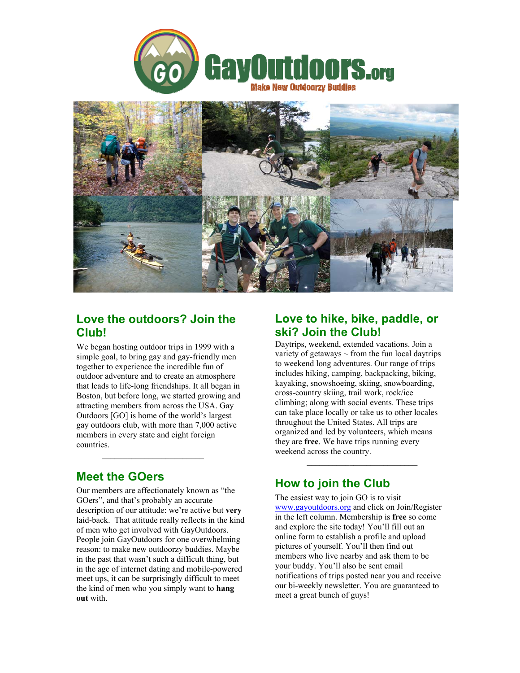



## **Love the outdoors? Join the Club!**

We began hosting outdoor trips in 1999 with a simple goal, to bring gay and gay-friendly men together to experience the incredible fun of outdoor adventure and to create an atmosphere that leads to life-long friendships. It all began in Boston, but before long, we started growing and attracting members from across the USA. Gay Outdoors [GO] is home of the world's largest gay outdoors club, with more than 7,000 active members in every state and eight foreign countries.

# **Meet the GOers**

Our members are affectionately known as "the GOers", and that's probably an accurate description of our attitude: we're active but **very** laid-back. That attitude really reflects in the kind of men who get involved with GayOutdoors. People join GayOutdoors for one overwhelming reason: to make new outdoorzy buddies. Maybe in the past that wasn't such a difficult thing, but in the age of internet dating and mobile-powered meet ups, it can be surprisingly difficult to meet the kind of men who you simply want to **hang out** with.

## **Love to hike, bike, paddle, or ski? Join the Club!**

Daytrips, weekend, extended vacations. Join a variety of getaways  $\sim$  from the fun local daytrips to weekend long adventures. Our range of trips includes hiking, camping, backpacking, biking, kayaking, snowshoeing, skiing, snowboarding, cross-country skiing, trail work, rock/ice climbing; along with social events. These trips can take place locally or take us to other locales throughout the United States. All trips are organized and led by volunteers, which means they are **free**. We have trips running every weekend across the country.

# **How to join the Club**

 $\mathcal{L}_\text{max} = \frac{1}{2} \sum_{i=1}^{n} \frac{1}{2} \sum_{i=1}^{n} \frac{1}{2} \sum_{i=1}^{n} \frac{1}{2} \sum_{i=1}^{n} \frac{1}{2} \sum_{i=1}^{n} \frac{1}{2} \sum_{i=1}^{n} \frac{1}{2} \sum_{i=1}^{n} \frac{1}{2} \sum_{i=1}^{n} \frac{1}{2} \sum_{i=1}^{n} \frac{1}{2} \sum_{i=1}^{n} \frac{1}{2} \sum_{i=1}^{n} \frac{1}{2} \sum_{i=1}^{n} \frac{1$ 

The easiest way to join GO is to visit www.gayoutdoors.org and click on Join/Register in the left column. Membership is **free** so come and explore the site today! You'll fill out an online form to establish a profile and upload pictures of yourself. You'll then find out members who live nearby and ask them to be your buddy. You'll also be sent email notifications of trips posted near you and receive our bi-weekly newsletter. You are guaranteed to meet a great bunch of guys!